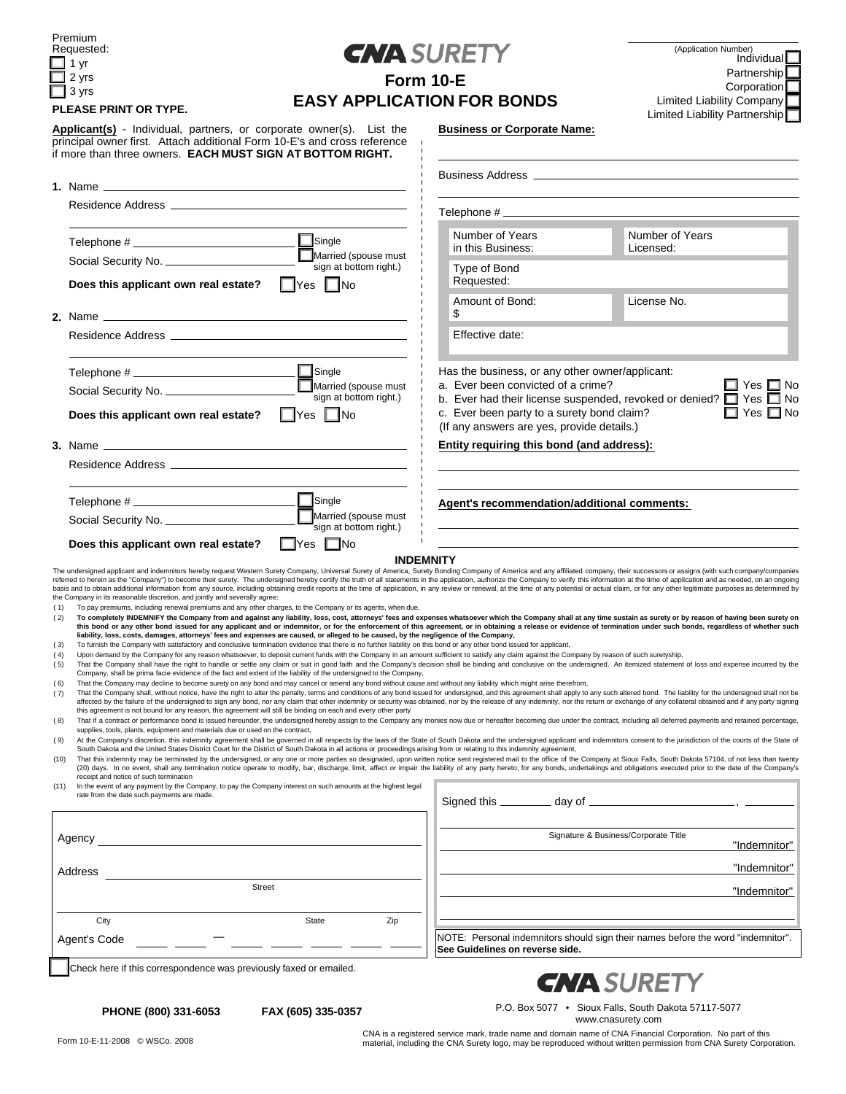| Premium<br>Requested: |       |  |  |  |  |
|-----------------------|-------|--|--|--|--|
|                       | 1 vr  |  |  |  |  |
|                       | 2 yrs |  |  |  |  |

 $\Box$  3 yrs



| Form 10-E                         |  |
|-----------------------------------|--|
| <b>EASY APPLICATION FOR BONDS</b> |  |

**Business or Corporate Name:**

#### **PLEASE PRINT OR TYPE.**

**Applicant(s)** - Individual, partners, or corporate owner(s). List the principal owner first. Attach additional Form 10-E's and cross reference if more than three owners. **EACH MUST SIGN AT BOTTOM RIGHT.**

|            |                                                                                                                                                                                                                                                                                                                                                                                                                                                                                                                                                                                                                                                                                                                                                                                                                                                                                                                                                                                                                                                                                                                                                                                                                                                                                                                                                                  | <b>Business Address Andrew Services</b> Andrew Services and American Services and American Services and American Services |                                      |                                                                                                                       |  |  |  |
|------------|------------------------------------------------------------------------------------------------------------------------------------------------------------------------------------------------------------------------------------------------------------------------------------------------------------------------------------------------------------------------------------------------------------------------------------------------------------------------------------------------------------------------------------------------------------------------------------------------------------------------------------------------------------------------------------------------------------------------------------------------------------------------------------------------------------------------------------------------------------------------------------------------------------------------------------------------------------------------------------------------------------------------------------------------------------------------------------------------------------------------------------------------------------------------------------------------------------------------------------------------------------------------------------------------------------------------------------------------------------------|---------------------------------------------------------------------------------------------------------------------------|--------------------------------------|-----------------------------------------------------------------------------------------------------------------------|--|--|--|
|            | Residence Address and the control of the control of the control of the control of the control of the control of the control of the control of the control of the control of the control of the control of the control of the c                                                                                                                                                                                                                                                                                                                                                                                                                                                                                                                                                                                                                                                                                                                                                                                                                                                                                                                                                                                                                                                                                                                                   | Telephone #                                                                                                               |                                      |                                                                                                                       |  |  |  |
|            | Single<br>Married (spouse must                                                                                                                                                                                                                                                                                                                                                                                                                                                                                                                                                                                                                                                                                                                                                                                                                                                                                                                                                                                                                                                                                                                                                                                                                                                                                                                                   | Number of Years<br>in this Business:                                                                                      |                                      | Number of Years<br>Licensed:                                                                                          |  |  |  |
|            | Social Security No. ____________________<br>sign at bottom right.)<br>$\square$ No<br>$\Box$ Yes<br>Does this applicant own real estate?                                                                                                                                                                                                                                                                                                                                                                                                                                                                                                                                                                                                                                                                                                                                                                                                                                                                                                                                                                                                                                                                                                                                                                                                                         | Type of Bond<br>Requested:                                                                                                |                                      |                                                                                                                       |  |  |  |
|            |                                                                                                                                                                                                                                                                                                                                                                                                                                                                                                                                                                                                                                                                                                                                                                                                                                                                                                                                                                                                                                                                                                                                                                                                                                                                                                                                                                  | Amount of Bond:<br>\$                                                                                                     |                                      | License No.                                                                                                           |  |  |  |
|            |                                                                                                                                                                                                                                                                                                                                                                                                                                                                                                                                                                                                                                                                                                                                                                                                                                                                                                                                                                                                                                                                                                                                                                                                                                                                                                                                                                  | Effective date:                                                                                                           |                                      |                                                                                                                       |  |  |  |
|            | Single<br>Married (spouse must<br>Has the business, or any other owner/applicant:<br>a. Ever been convicted of a crime?<br>Yes<br>Social Security No.<br>sign at bottom right.)<br>b. Ever had their license suspended, revoked or denied? $\Box$ Yes<br>Yes<br>c. Ever been party to a surety bond claim?<br>⊟ No<br>$\Box$ Yes $\Box$ No<br>Does this applicant own real estate?<br>(If any answers are yes, provide details.)<br>Entity requiring this bond (and address):                                                                                                                                                                                                                                                                                                                                                                                                                                                                                                                                                                                                                                                                                                                                                                                                                                                                                    |                                                                                                                           |                                      |                                                                                                                       |  |  |  |
|            | sign at bottom right.)<br>$\Box$ Yes $\Box$ No<br>Does this applicant own real estate?                                                                                                                                                                                                                                                                                                                                                                                                                                                                                                                                                                                                                                                                                                                                                                                                                                                                                                                                                                                                                                                                                                                                                                                                                                                                           | Agent's recommendation/additional comments:                                                                               |                                      |                                                                                                                       |  |  |  |
| (1)<br>(2) | <b>INDEMNITY</b><br>The undersigned applicant and indemnitors hereby request Western Surety Company, Universal Surety of America, Surety Bonding Company of America and any affiliated company, their successors or assigns (with such company/com<br>referred to herein as the "Company") to become their surety. The undersigned hereby certify the truth of all statements in the application, authorize the Company to verify this information at the time of application and as<br>basis and to obtain additional information from any source, including obtaining credit reports at the time of application, in any review or renewal, at the time of any potential or actual claim, or for any other legitimate<br>the Company in its reasonable discretion, and jointly and severally agree:<br>To pay premiums, including renewal premiums and any other charges, to the Company or its agents, when due,<br>To completely INDEMNIFY the Company from and against any liability, loss, cost, attorneys' fees and expenses whatsoever which the Company shall at any time sustain as surety or by reason of having been surety on<br>this bond or any other bond issued for any applicant and or indemnitor, or for the enforcement of this agreement, or in obtaining a release or evidence of termination under such bonds, regardless of whether such |                                                                                                                           |                                      |                                                                                                                       |  |  |  |
| (3)        | liability, loss, costs, damages, attorneys' fees and expenses are caused, or alleged to be caused, by the negligence of the Company,<br>To furnish the Company with satisfactory and conclusive termination evidence that there is no further liability on this bond or any other bond issued for applicant,                                                                                                                                                                                                                                                                                                                                                                                                                                                                                                                                                                                                                                                                                                                                                                                                                                                                                                                                                                                                                                                     |                                                                                                                           |                                      |                                                                                                                       |  |  |  |
| (4)        | Upon demand by the Company for any reason whatsoever, to deposit current funds with the Company in an amount sufficient to satisfy any claim against the Company by reason of such suretyship,                                                                                                                                                                                                                                                                                                                                                                                                                                                                                                                                                                                                                                                                                                                                                                                                                                                                                                                                                                                                                                                                                                                                                                   |                                                                                                                           |                                      |                                                                                                                       |  |  |  |
| (5)        | That the Company shall have the right to handle or settle any claim or suit in good faith and the Company's decision shall be binding and conclusive on the undersigned. An itemized statement of loss and expense incurred by<br>Company, shall be prima facie evidence of the fact and extent of the liability of the undersigned to the Company,                                                                                                                                                                                                                                                                                                                                                                                                                                                                                                                                                                                                                                                                                                                                                                                                                                                                                                                                                                                                              |                                                                                                                           |                                      |                                                                                                                       |  |  |  |
| (6)<br>(7) | That the Company may decline to become surety on any bond and may cancel or amend any bond without cause and without any liability which might arise therefrom,<br>That the Company shall, without notice, have the right to alter the penalty, terms and conditions of any bond issued for undersigned, and this agreement shall apply to any such altered bond. The liability for the undersign<br>affected by the failure of the undersigned to sign any bond, nor any claim that other indemnity or security was obtained, nor by the release of any indemnity, nor the return or exchange of any collateral obtained and if an<br>this agreement is not bound for any reason, this agreement will still be binding on each and every other party                                                                                                                                                                                                                                                                                                                                                                                                                                                                                                                                                                                                            |                                                                                                                           |                                      |                                                                                                                       |  |  |  |
| (8)        | That if a contract or performance bond is issued hereunder, the undersigned hereby assign to the Company any monies now due or hereafter becoming due under the contract, including all deferred payments and retained percent<br>supplies, tools, plants, equipment and materials due or used on the contract,                                                                                                                                                                                                                                                                                                                                                                                                                                                                                                                                                                                                                                                                                                                                                                                                                                                                                                                                                                                                                                                  |                                                                                                                           |                                      |                                                                                                                       |  |  |  |
| (9)        | At the Company's discretion, this indemnity agreement shall be governed in all respects by the laws of the State of South Dakota and the undersigned applicant and indemnitors consent to the jurisdiction of the courts of th                                                                                                                                                                                                                                                                                                                                                                                                                                                                                                                                                                                                                                                                                                                                                                                                                                                                                                                                                                                                                                                                                                                                   |                                                                                                                           |                                      |                                                                                                                       |  |  |  |
| (10)       | South Dakota and the United States District Court for the District of South Dakota in all actions or proceedings arising from or relating to this indemnity agreement,<br>That this indemnity may be terminated by the undersigned, or any one or more parties so designated, upon written notice sent registered mail to the office of the Company at Sioux Falls, South Dakota 57104, of not less than<br>(20) days. In no event, shall any termination notice operate to modify, bar, discharge, limit, affect or impair the liability of any party hereto, for any bonds, undertakings and obligations executed prior to the date of t<br>receipt and notice of such termination                                                                                                                                                                                                                                                                                                                                                                                                                                                                                                                                                                                                                                                                             |                                                                                                                           |                                      |                                                                                                                       |  |  |  |
|            | In the event of any payment by the Company, to pay the Company interest on such amounts at the highest legal<br>rate from the date such payments are made.                                                                                                                                                                                                                                                                                                                                                                                                                                                                                                                                                                                                                                                                                                                                                                                                                                                                                                                                                                                                                                                                                                                                                                                                       |                                                                                                                           |                                      | <u> 1989 - Johann Stein, marwolaethau a bhannaich an t-Albann an t-Albann an t-Albann an t-Albann an t-Albann an </u> |  |  |  |
|            | Agency                                                                                                                                                                                                                                                                                                                                                                                                                                                                                                                                                                                                                                                                                                                                                                                                                                                                                                                                                                                                                                                                                                                                                                                                                                                                                                                                                           |                                                                                                                           | Signature & Business/Corporate Title | "Indemnitor"                                                                                                          |  |  |  |
|            |                                                                                                                                                                                                                                                                                                                                                                                                                                                                                                                                                                                                                                                                                                                                                                                                                                                                                                                                                                                                                                                                                                                                                                                                                                                                                                                                                                  |                                                                                                                           |                                      | "Indemnitor"                                                                                                          |  |  |  |
|            | Address<br>Street                                                                                                                                                                                                                                                                                                                                                                                                                                                                                                                                                                                                                                                                                                                                                                                                                                                                                                                                                                                                                                                                                                                                                                                                                                                                                                                                                |                                                                                                                           |                                      | "Indemnitor"                                                                                                          |  |  |  |

# NOTE: Personal indemnitors should sign their names before the word "indemnitor". **See Guidelines on reverse side.**

Check here if this correspondence was previously faxed or emailed.

City State Zip



**PHONE (800) 331-6053 FAX (605) 335-0357**

P.O. Box 5077 • Sioux Falls, South Dakota 57117-5077 www.cnasurety.com

Agent's Code —

CNA is a registered service mark, trade name and domain name of CNA Financial Corporation. No part of this

material, including the CNA Surety logo, may be reproduced without written permission from CNA Surety Corporation.